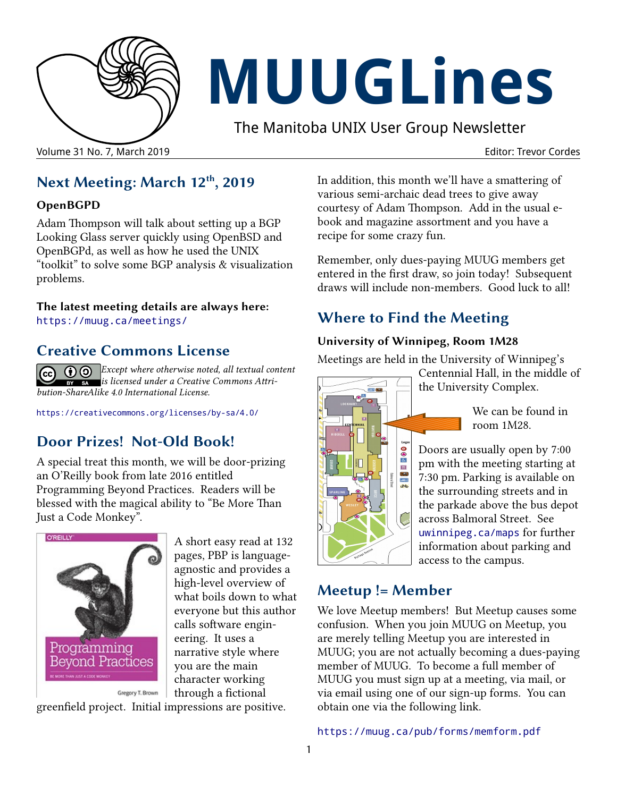

# **MUUGLines**

The Manitoba UNIX User Group Newsletter

Volume 31 No. 7, March 2019 Editor: Trevor Cordes

## **Next Meeting: March 12th, 2019**

#### **OpenBGPD**

Adam Thompson will talk about setting up a BGP Looking Glass server quickly using OpenBSD and OpenBGPd, as well as how he used the UNIX "toolkit" to solve some BGP analysis & visualization problems.

#### **The latest meeting details are always here:** [https://muug.ca/meetings/](https://www.muug.mb.ca/meetings/)

## **Creative Commons License**

*Except where otherwise noted, all textual content*   $(cc)$ *is licensed under a Creative Commons Attribution-ShareAlike 4.0 International License.*

<https://creativecommons.org/licenses/by-sa/4.0/>

# **Door Prizes! Not-Old Book!**

A special treat this month, we will be door-prizing an O'Reilly book from late 2016 entitled Programming Beyond Practices. Readers will be blessed with the magical ability to "Be More Than Just a Code Monkey".



A short easy read at 132 pages, PBP is languageagnostic and provides a high-level overview of what boils down to what everyone but this author calls software engineering. It uses a narrative style where you are the main character working through a fictional

greenfield project. Initial impressions are positive.

In addition, this month we'll have a smattering of various semi-archaic dead trees to give away courtesy of Adam Thompson. Add in the usual ebook and magazine assortment and you have a recipe for some crazy fun.

Remember, only dues-paying MUUG members get entered in the first draw, so join today! Subsequent draws will include non-members. Good luck to all!

# **Where to Find the Meeting**

## **University of Winnipeg, Room 1M28**

Meetings are held in the University of Winnipeg's



Centennial Hall, in the middle of the University Complex.

> We can be found in room 1M28.

Doors are usually open by 7:00 pm with the meeting starting at 7:30 pm. Parking is available on the surrounding streets and in the parkade above the bus depot across Balmoral Street. See [uwinnipeg.ca/maps](http://www.uwinnipeg.ca/maps) for further information about parking and access to the campus.

## **Meetup != Member**

We love Meetup members! But Meetup causes some confusion. When you join MUUG on Meetup, you are merely telling Meetup you are interested in MUUG; you are not actually becoming a dues-paying member of MUUG. To become a full member of MUUG you must sign up at a meeting, via mail, or via email using one of our sign-up forms. You can obtain one via the following link.

<https://muug.ca/pub/forms/memform.pdf>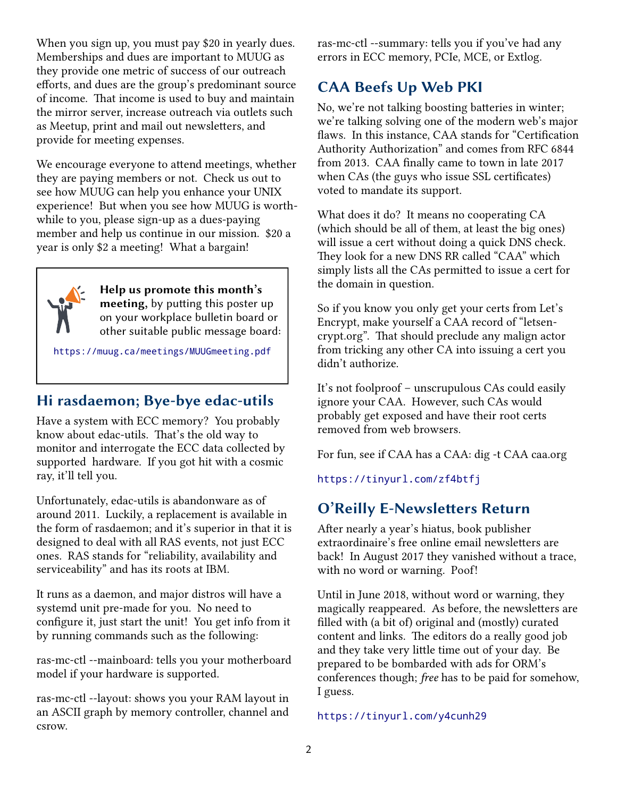When you sign up, you must pay \$20 in yearly dues. Memberships and dues are important to MUUG as they provide one metric of success of our outreach efforts, and dues are the group's predominant source of income. That income is used to buy and maintain the mirror server, increase outreach via outlets such as Meetup, print and mail out newsletters, and provide for meeting expenses.

We encourage everyone to attend meetings, whether they are paying members or not. Check us out to see how MUUG can help you enhance your UNIX experience! But when you see how MUUG is worthwhile to you, please sign-up as a dues-paying member and help us continue in our mission. \$20 a year is only \$2 a meeting! What a bargain!



**Help us promote this month's meeting,** by putting this poster up on your workplace bulletin board or other suitable public message board:

<https://muug.ca/meetings/MUUGmeeting.pdf>

## **Hi rasdaemon; Bye-bye edac-utils**

Have a system with ECC memory? You probably know about edac-utils. That's the old way to monitor and interrogate the ECC data collected by supported hardware. If you got hit with a cosmic ray, it'll tell you.

Unfortunately, edac-utils is abandonware as of around 2011. Luckily, a replacement is available in the form of rasdaemon; and it's superior in that it is designed to deal with all RAS events, not just ECC ones. RAS stands for "reliability, availability and serviceability" and has its roots at IBM.

It runs as a daemon, and major distros will have a systemd unit pre-made for you. No need to configure it, just start the unit! You get info from it by running commands such as the following:

ras-mc-ctl --mainboard: tells you your motherboard model if your hardware is supported.

ras-mc-ctl --layout: shows you your RAM layout in an ASCII graph by memory controller, channel and csrow.

ras-mc-ctl --summary: tells you if you've had any errors in ECC memory, PCIe, MCE, or Extlog.

# **CAA Beefs Up Web PKI**

No, we're not talking boosting batteries in winter; we're talking solving one of the modern web's major flaws. In this instance, CAA stands for "Certification Authority Authorization" and comes from RFC 6844 from 2013. CAA finally came to town in late 2017 when CAs (the guys who issue SSL certificates) voted to mandate its support.

What does it do? It means no cooperating CA (which should be all of them, at least the big ones) will issue a cert without doing a quick DNS check. They look for a new DNS RR called "CAA" which simply lists all the CAs permitted to issue a cert for the domain in question.

So if you know you only get your certs from Let's Encrypt, make yourself a CAA record of "letsencrypt.org". That should preclude any malign actor from tricking any other CA into issuing a cert you didn't authorize.

It's not foolproof – unscrupulous CAs could easily ignore your CAA. However, such CAs would probably get exposed and have their root certs removed from web browsers.

For fun, see if CAA has a CAA: dig -t CAA caa.org

<https://tinyurl.com/zf4btfj>

# **O'Reilly E-Newsletters Return**

After nearly a year's hiatus, book publisher extraordinaire's free online email newsletters are back! In August 2017 they vanished without a trace, with no word or warning. Poof!

Until in June 2018, without word or warning, they magically reappeared. As before, the newsletters are filled with (a bit of) original and (mostly) curated content and links. The editors do a really good job and they take very little time out of your day. Be prepared to be bombarded with ads for ORM's conferences though; *free* has to be paid for somehow, I guess.

#### <https://tinyurl.com/y4cunh29>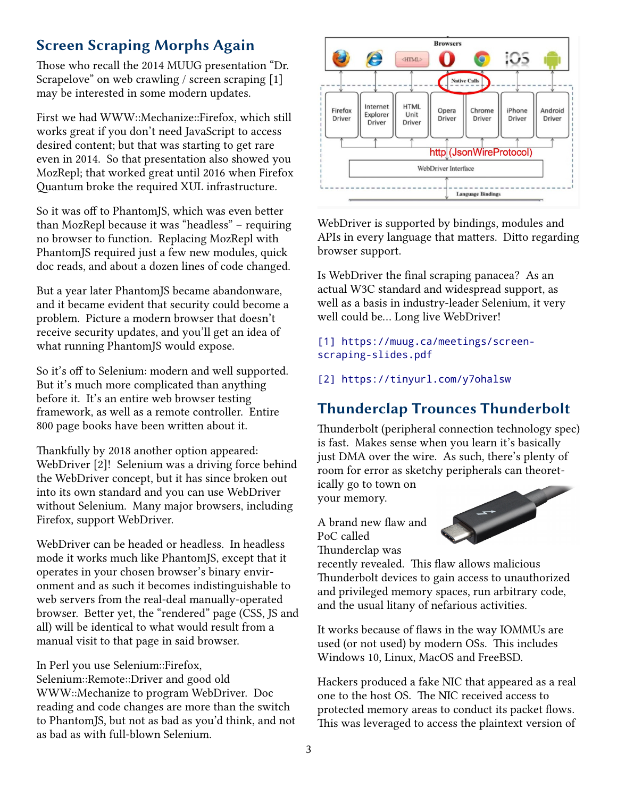## **Screen Scraping Morphs Again**

Those who recall the 2014 MUUG presentation "Dr. Scrapelove" on web crawling / screen scraping [1] may be interested in some modern updates.

First we had WWW::Mechanize::Firefox, which still works great if you don't need JavaScript to access desired content; but that was starting to get rare even in 2014. So that presentation also showed you MozRepl; that worked great until 2016 when Firefox Quantum broke the required XUL infrastructure.

So it was off to PhantomJS, which was even better than MozRepl because it was "headless" – requiring no browser to function. Replacing MozRepl with PhantomJS required just a few new modules, quick doc reads, and about a dozen lines of code changed.

But a year later PhantomJS became abandonware, and it became evident that security could become a problem. Picture a modern browser that doesn't receive security updates, and you'll get an idea of what running PhantomJS would expose.

So it's off to Selenium: modern and well supported. But it's much more complicated than anything before it. It's an entire web browser testing framework, as well as a remote controller. Entire 800 page books have been written about it.

Thankfully by 2018 another option appeared: WebDriver [2]! Selenium was a driving force behind the WebDriver concept, but it has since broken out into its own standard and you can use WebDriver without Selenium. Many major browsers, including Firefox, support WebDriver.

WebDriver can be headed or headless. In headless mode it works much like PhantomJS, except that it operates in your chosen browser's binary environment and as such it becomes indistinguishable to web servers from the real-deal manually-operated browser. Better yet, the "rendered" page (CSS, JS and all) will be identical to what would result from a manual visit to that page in said browser.

In Perl you use Selenium::Firefox, Selenium::Remote::Driver and good old WWW::Mechanize to program WebDriver. Doc reading and code changes are more than the switch to PhantomJS, but not as bad as you'd think, and not as bad as with full-blown Selenium.



WebDriver is supported by bindings, modules and APIs in every language that matters. Ditto regarding browser support.

Is WebDriver the final scraping panacea? As an actual W3C standard and widespread support, as well as a basis in industry-leader Selenium, it very well could be... Long live WebDriver!

[1] [https://muug.ca/meetings/screen](https://muug.ca/meetings/screen-scraping-slides.pdf)[scraping-slides.pdf](https://muug.ca/meetings/screen-scraping-slides.pdf)

[2]<https://tinyurl.com/y7ohalsw>

# **Thunderclap Trounces Thunderbolt**

Thunderbolt (peripheral connection technology spec) is fast. Makes sense when you learn it's basically just DMA over the wire. As such, there's plenty of room for error as sketchy peripherals can theoret-

ically go to town on your memory.

A brand new flaw and PoC called Thunderclap was



recently revealed. This flaw allows malicious Thunderbolt devices to gain access to unauthorized and privileged memory spaces, run arbitrary code, and the usual litany of nefarious activities.

It works because of flaws in the way IOMMUs are used (or not used) by modern OSs. This includes Windows 10, Linux, MacOS and FreeBSD.

Hackers produced a fake NIC that appeared as a real one to the host OS. The NIC received access to protected memory areas to conduct its packet flows. This was leveraged to access the plaintext version of